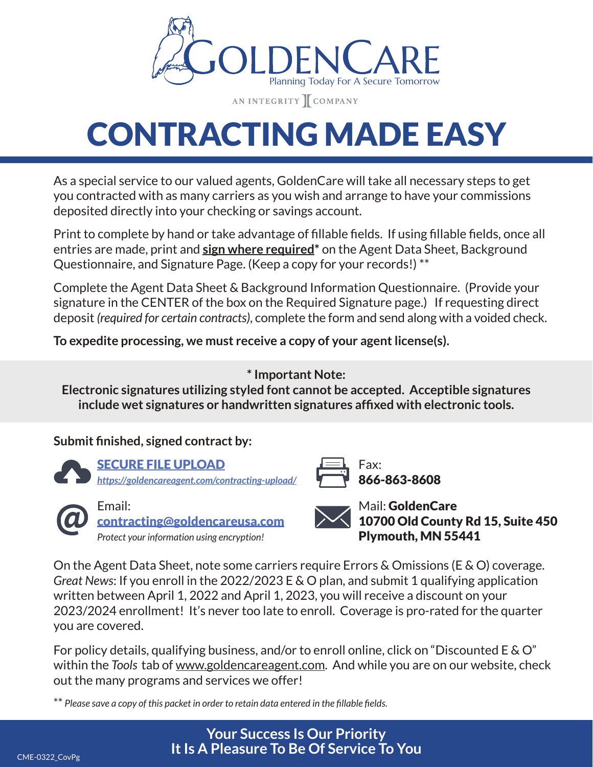

AN INTEGRITY COMPANY

# CONTRACTING MADE EASY

As a special service to our valued agents, GoldenCare will take all necessary steps to get you contracted with as many carriers as you wish and arrange to have your commissions deposited directly into your checking or savings account.

Print to complete by hand or take advantage of fillable fields. If using fillable fields, once all entries are made, print and **sign where required\*** on the Agent Data Sheet, Background Questionnaire, and Signature Page. (Keep a copy for your records!) \*\*

Complete the Agent Data Sheet & Background Information Questionnaire. (Provide your signature in the CENTER of the box on the Required Signature page.) If requesting direct deposit *(required for certain contracts)*, complete the form and send along with a voided check.

**To expedite processing, we must receive a copy of your agent license(s).**

**\* Important Note:**

**Electronic signatures utilizing styled font cannot be accepted. Acceptible signatures include wet signatures or handwritten signatures affixed with electronic tools.**

## **Submit finished, signed contract by:**



SECURE FILE UPLOAD *[https;//goldencareagent.com/contracting-upload/](https://goldencareagent.com/contracting-upload/)*



Email: contracting@goldencareusa.com *Protect your information using encryption!*

Fax: 866-863-8608

Mail: GoldenCare 10700 Old County Rd 15, Suite 450 Plymouth, MN 55441

On the Agent Data Sheet, note some carriers require Errors & Omissions (E & O) coverage. *Great News*: If you enroll in the 2022/2023 E & O plan, and submit 1 qualifying application written between April 1, 2022 and April 1, 2023, you will receive a discount on your 2023/2024 enrollment! It's never too late to enroll. Coverage is pro-rated for the quarter you are covered.

For policy details, qualifying business, and/or to enroll online, click on "Discounted E & O" within the *Tools* tab of www.goldencareagent.com. And while you are on our website, check out the many programs and services we offer!

\*\* *Please save a copy of this packet in order to retain data entered in the fillable fields.*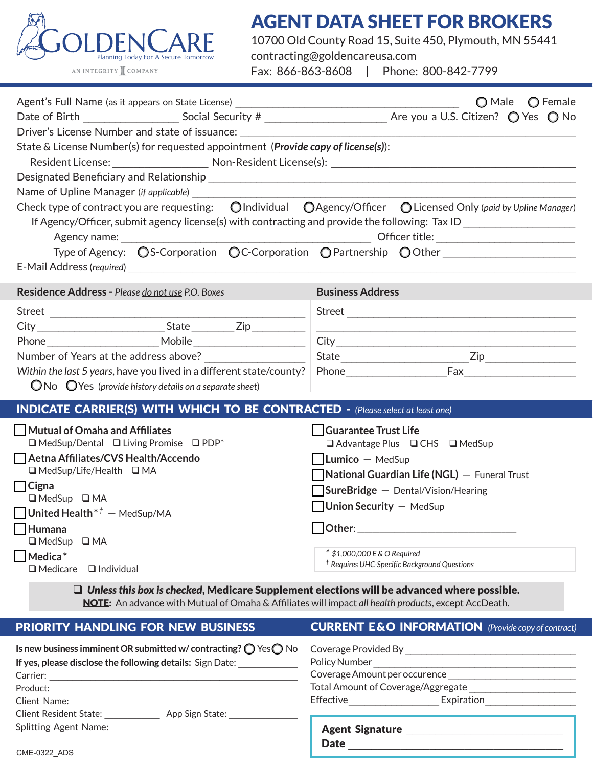

# AGENT DATA SHEET FOR BROKERS

10700 Old County Road 15, Suite 450, Plymouth, MN 55441 contracting@goldencareusa.com Fax: 866-863-8608 | Phone: 800-842-7799

| Agent's Full Name (as it appears on State License) ______________________________                                                                                                                         | O Male O Female                                                                         |  |  |  |  |
|-----------------------------------------------------------------------------------------------------------------------------------------------------------------------------------------------------------|-----------------------------------------------------------------------------------------|--|--|--|--|
|                                                                                                                                                                                                           |                                                                                         |  |  |  |  |
| Driver's License Number and state of issuance: _________________________________                                                                                                                          |                                                                                         |  |  |  |  |
| State & License Number(s) for requested appointment ( <i>Provide copy of license(s)</i> ):                                                                                                                |                                                                                         |  |  |  |  |
|                                                                                                                                                                                                           |                                                                                         |  |  |  |  |
| Name of Upline Manager (if applicable)                                                                                                                                                                    |                                                                                         |  |  |  |  |
| Check type of contract you are requesting: OIndividual OAgency/Officer OLicensed Only (paid by Upline Manager)                                                                                            |                                                                                         |  |  |  |  |
| If Agency/Officer, submit agency license(s) with contracting and provide the following: Tax ID _______________                                                                                            |                                                                                         |  |  |  |  |
|                                                                                                                                                                                                           |                                                                                         |  |  |  |  |
|                                                                                                                                                                                                           | Type of Agency: OS-Corporation OC-Corporation OPartnership OOther                       |  |  |  |  |
|                                                                                                                                                                                                           |                                                                                         |  |  |  |  |
| Residence Address - Please do not use P.O. Boxes                                                                                                                                                          | <b>Business Address</b>                                                                 |  |  |  |  |
|                                                                                                                                                                                                           |                                                                                         |  |  |  |  |
|                                                                                                                                                                                                           |                                                                                         |  |  |  |  |
|                                                                                                                                                                                                           | City                                                                                    |  |  |  |  |
| Number of Years at the address above?                                                                                                                                                                     |                                                                                         |  |  |  |  |
|                                                                                                                                                                                                           |                                                                                         |  |  |  |  |
| $\bigcirc$ No $\bigcirc$ Yes (provide history details on a separate sheet)                                                                                                                                |                                                                                         |  |  |  |  |
| <b>INDICATE CARRIER(S) WITH WHICH TO BE CONTRACTED -</b> (Please select at least one)                                                                                                                     |                                                                                         |  |  |  |  |
| Mutual of Omaha and Affiliates                                                                                                                                                                            | Guarantee Trust Life                                                                    |  |  |  |  |
| $\Box$ MedSup/Dental $\Box$ Living Promise $\Box$ PDP*                                                                                                                                                    | □ Advantage Plus □ CHS □ MedSup                                                         |  |  |  |  |
| Aetna Affiliates/CVS Health/Accendo                                                                                                                                                                       | $\vert$ Lumico – MedSup                                                                 |  |  |  |  |
| $\Box$ MedSup/Life/Health $\Box$ MA<br>$\Box$ Cigna                                                                                                                                                       | $\blacksquare$ National Guardian Life (NGL) $-$ Funeral Trust                           |  |  |  |  |
| $\Box$ MedSup $\Box$ MA                                                                                                                                                                                   | $\Box$ SureBridge $-$ Dental/Vision/Hearing                                             |  |  |  |  |
| <b>United Health</b> <sup>*<math>\dagger</math></sup> - MedSup/MA                                                                                                                                         | <b>Union Security - MedSup</b>                                                          |  |  |  |  |
| Humana                                                                                                                                                                                                    | Other:                                                                                  |  |  |  |  |
| $\Box$ MedSup<br>$\Box$ MA                                                                                                                                                                                |                                                                                         |  |  |  |  |
| $\overline{\phantom{a}}$ Medica $^*$                                                                                                                                                                      | * \$1,000,000 E & O Required<br><sup>†</sup> Requires UHC-Specific Background Questions |  |  |  |  |
| $\Box$ Medicare<br>$\Box$ Individual                                                                                                                                                                      |                                                                                         |  |  |  |  |
| $\Box$ Unless this box is checked, Medicare Supplement elections will be advanced where possible.<br>NOTE: An advance with Mutual of Omaha & Affiliates will impact all health products, except AccDeath. |                                                                                         |  |  |  |  |
| PRIORITY HANDLING FOR NEW BUSINESS                                                                                                                                                                        | <b>CURRENT E &amp; O INFORMATION</b> (Provide copy of contract)                         |  |  |  |  |
|                                                                                                                                                                                                           |                                                                                         |  |  |  |  |

| Is new business imminent OR submitted w/contracting? $\bigcirc$ Yes $\bigcirc$ No | Coverage Provided By               |  |
|-----------------------------------------------------------------------------------|------------------------------------|--|
| If yes, please disclose the following details: Sign Date:                         | Policy Number                      |  |
| Carrier:                                                                          | Coverage Amount per occurence      |  |
| Product:                                                                          | Total Amount of Coverage/Aggregate |  |
| Client Name:                                                                      | Expiration<br>Effective            |  |
| <b>Client Resident State:</b><br>App Sign State:                                  |                                    |  |
| <b>Splitting Agent Name:</b>                                                      | <b>Agent Signature</b>             |  |
|                                                                                   | <b>Date</b>                        |  |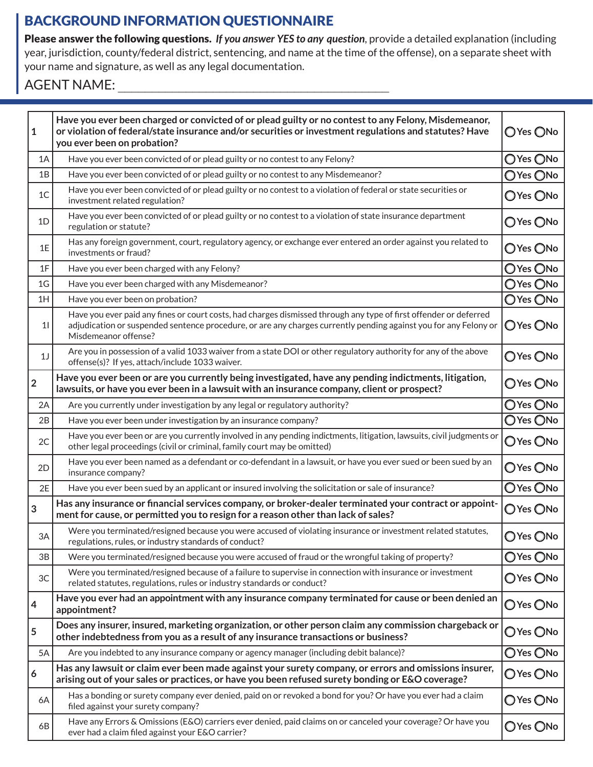# BACKGROUND INFORMATION QUESTIONNAIRE

Please answer the following questions. *If you answer YES to any question*, provide a detailed explanation (including year, jurisdiction, county/federal district, sentencing, and name at the time of the offense), on a separate sheet with your name and signature, as well as any legal documentation.

#### AGENT NAME:

| 1                       | Have you ever been charged or convicted of or plead guilty or no contest to any Felony, Misdemeanor,<br>or violation of federal/state insurance and/or securities or investment regulations and statutes? Have<br>you ever been on probation?                 | O Yes ONo |
|-------------------------|---------------------------------------------------------------------------------------------------------------------------------------------------------------------------------------------------------------------------------------------------------------|-----------|
| 1A                      | Have you ever been convicted of or plead guilty or no contest to any Felony?                                                                                                                                                                                  |           |
| 1B                      | Have you ever been convicted of or plead guilty or no contest to any Misdemeanor?                                                                                                                                                                             | O Yes ONo |
| 1 <sup>C</sup>          | Have you ever been convicted of or plead guilty or no contest to a violation of federal or state securities or<br>investment related regulation?                                                                                                              | OYes ONo  |
| 1D                      | Have you ever been convicted of or plead guilty or no contest to a violation of state insurance department<br>regulation or statute?                                                                                                                          | O Yes ONo |
| 1E                      | Has any foreign government, court, regulatory agency, or exchange ever entered an order against you related to<br>investments or fraud?                                                                                                                       | O Yes ONo |
| 1F                      | Have you ever been charged with any Felony?                                                                                                                                                                                                                   |           |
| 1 <sub>G</sub>          | Have you ever been charged with any Misdemeanor?                                                                                                                                                                                                              | OYes ONo  |
| 1H                      | Have you ever been on probation?                                                                                                                                                                                                                              | O Yes ONo |
| 11                      | Have you ever paid any fines or court costs, had charges dismissed through any type of first offender or deferred<br>adjudication or suspended sentence procedure, or are any charges currently pending against you for any Felony or<br>Misdemeanor offense? | O Yes ONo |
| 1 <sub>J</sub>          | Are you in possession of a valid 1033 waiver from a state DOI or other regulatory authority for any of the above<br>offense(s)? If yes, attach/include 1033 waiver.                                                                                           | O Yes ONo |
| $\overline{\mathbf{2}}$ | Have you ever been or are you currently being investigated, have any pending indictments, litigation,<br>lawsuits, or have you ever been in a lawsuit with an insurance company, client or prospect?                                                          | OYes ONo  |
| 2A                      | Are you currently under investigation by any legal or regulatory authority?                                                                                                                                                                                   | OYes ONo  |
| 2B                      | Have you ever been under investigation by an insurance company?                                                                                                                                                                                               | O Yes ONo |
| 2C                      | Have you ever been or are you currently involved in any pending indictments, litigation, lawsuits, civil judgments or<br>other legal proceedings (civil or criminal, family court may be omitted)                                                             | O Yes ONo |
| 2D                      | Have you ever been named as a defendant or co-defendant in a lawsuit, or have you ever sued or been sued by an<br>insurance company?                                                                                                                          | O Yes ONo |
| 2E                      | Have you ever been sued by an applicant or insured involving the solicitation or sale of insurance?                                                                                                                                                           | O Yes ONo |
| 3                       | Has any insurance or financial services company, or broker-dealer terminated your contract or appoint-<br>ment for cause, or permitted you to resign for a reason other than lack of sales?                                                                   | O Yes ONo |
| 3A                      | Were you terminated/resigned because you were accused of violating insurance or investment related statutes,<br>regulations, rules, or industry standards of conduct?                                                                                         | O Yes ONo |
| 3B                      | Were you terminated/resigned because you were accused of fraud or the wrongful taking of property?                                                                                                                                                            | O Yes ONo |
| 3C                      | Were you terminated/resigned because of a failure to supervise in connection with insurance or investment<br>related statutes, regulations, rules or industry standards or conduct?                                                                           | O Yes ONo |
| 4                       | Have you ever had an appointment with any insurance company terminated for cause or been denied an<br>appointment?                                                                                                                                            | ○Yes ○No  |
| 5                       | Does any insurer, insured, marketing organization, or other person claim any commission chargeback or<br>other indebtedness from you as a result of any insurance transactions or business?                                                                   | O Yes ONo |
| 5A                      | Are you indebted to any insurance company or agency manager (including debit balance)?                                                                                                                                                                        | O Yes ONo |
| 6                       | Has any lawsuit or claim ever been made against your surety company, or errors and omissions insurer,<br>arising out of your sales or practices, or have you been refused surety bonding or E&O coverage?                                                     | ○Yes ○No  |
| 6A                      | Has a bonding or surety company ever denied, paid on or revoked a bond for you? Or have you ever had a claim<br>filed against your surety company?                                                                                                            | O Yes ONo |
| 6B                      | Have any Errors & Omissions (E&O) carriers ever denied, paid claims on or canceled your coverage? Or have you<br>ever had a claim filed against your E&O carrier?                                                                                             | O Yes ONo |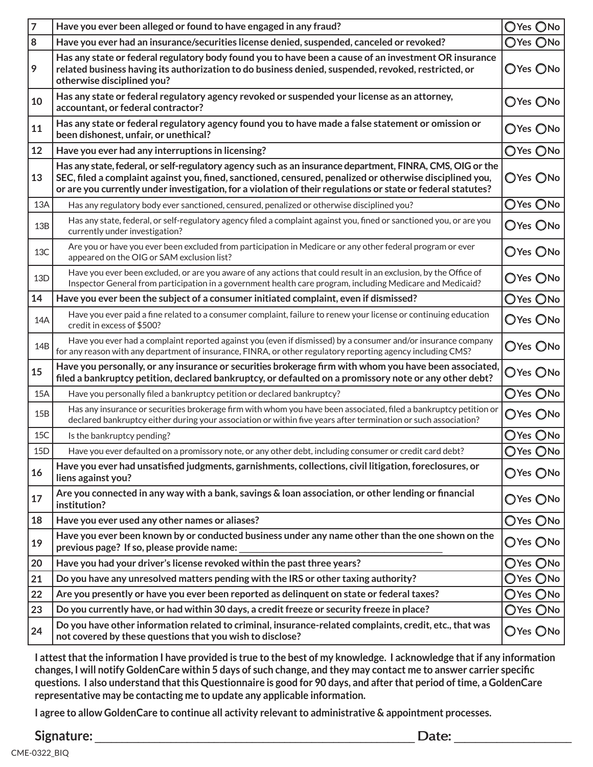| 7       | Have you ever been alleged or found to have engaged in any fraud?                                                                                                                                                                                                                                                                     | OYes ONo                     |
|---------|---------------------------------------------------------------------------------------------------------------------------------------------------------------------------------------------------------------------------------------------------------------------------------------------------------------------------------------|------------------------------|
| $\bf 8$ | Have you ever had an insurance/securities license denied, suspended, canceled or revoked?                                                                                                                                                                                                                                             |                              |
| 9       | Has any state or federal regulatory body found you to have been a cause of an investment OR insurance<br>related business having its authorization to do business denied, suspended, revoked, restricted, or<br>otherwise disciplined you?                                                                                            | OYes ONo                     |
| 10      | Has any state or federal regulatory agency revoked or suspended your license as an attorney,<br>accountant, or federal contractor?                                                                                                                                                                                                    |                              |
| 11      | Has any state or federal regulatory agency found you to have made a false statement or omission or<br>been dishonest, unfair, or unethical?                                                                                                                                                                                           |                              |
| 12      | Have you ever had any interruptions in licensing?                                                                                                                                                                                                                                                                                     | OYes ONo                     |
| 13      | Has any state, federal, or self-regulatory agency such as an insurance department, FINRA, CMS, OIG or the<br>SEC, filed a complaint against you, fined, sanctioned, censured, penalized or otherwise disciplined you,<br>or are you currently under investigation, for a violation of their regulations or state or federal statutes? | OYes ONo                     |
| 13A     | Has any regulatory body ever sanctioned, censured, penalized or otherwise disciplined you?                                                                                                                                                                                                                                            |                              |
| 13B     | Has any state, federal, or self-regulatory agency filed a complaint against you, fined or sanctioned you, or are you<br>currently under investigation?                                                                                                                                                                                | OYes ONo                     |
| 13C     | Are you or have you ever been excluded from participation in Medicare or any other federal program or ever<br>appeared on the OIG or SAM exclusion list?                                                                                                                                                                              | OYes ONo                     |
| 13D     | Have you ever been excluded, or are you aware of any actions that could result in an exclusion, by the Office of<br>Inspector General from participation in a government health care program, including Medicare and Medicaid?                                                                                                        | OYes ONo                     |
| 14      | Have you ever been the subject of a consumer initiated complaint, even if dismissed?                                                                                                                                                                                                                                                  | OYes ONo                     |
| 14A     | Have you ever paid a fine related to a consumer complaint, failure to renew your license or continuing education<br>credit in excess of \$500?                                                                                                                                                                                        | OYes ONo                     |
| 14B     | Have you ever had a complaint reported against you (even if dismissed) by a consumer and/or insurance company<br>for any reason with any department of insurance, FINRA, or other regulatory reporting agency including CMS?                                                                                                          | OYes ONo                     |
| 15      | Have you personally, or any insurance or securities brokerage firm with whom you have been associated,<br>filed a bankruptcy petition, declared bankruptcy, or defaulted on a promissory note or any other debt?                                                                                                                      |                              |
| 15A     | Have you personally filed a bankruptcy petition or declared bankruptcy?                                                                                                                                                                                                                                                               |                              |
| 15B     | Has any insurance or securities brokerage firm with whom you have been associated, filed a bankruptcy petition or<br>declared bankruptcy either during your association or within five years after termination or such association?                                                                                                   | OYes ONo                     |
| 15C     | Is the bankruptcy pending?                                                                                                                                                                                                                                                                                                            | OYes ONo                     |
| 15D     | Have you ever defaulted on a promissory note, or any other debt, including consumer or credit card debt?                                                                                                                                                                                                                              | OYes ONo                     |
| 16      | Have you ever had unsatisfied judgments, garnishments, collections, civil litigation, foreclosures, or<br>liens against you?                                                                                                                                                                                                          | OYes ONo                     |
| 17      | Are you connected in any way with a bank, savings & loan association, or other lending or financial<br>institution?                                                                                                                                                                                                                   | OYes ONo                     |
| 18      | Have you ever used any other names or aliases?                                                                                                                                                                                                                                                                                        | OYes ONo                     |
| 19      | Have you ever been known by or conducted business under any name other than the one shown on the<br>previous page? If so, please provide name:                                                                                                                                                                                        | OYes ONo                     |
| 20      | Have you had your driver's license revoked within the past three years?                                                                                                                                                                                                                                                               | OYes ONo                     |
| 21      | Do you have any unresolved matters pending with the IRS or other taxing authority?                                                                                                                                                                                                                                                    | $\bigcirc$ Yes $\bigcirc$ No |
| 22      | Are you presently or have you ever been reported as delinguent on state or federal taxes?                                                                                                                                                                                                                                             |                              |
| 23      | Do you currently have, or had within 30 days, a credit freeze or security freeze in place?                                                                                                                                                                                                                                            | OYes ONo                     |
| 24      | Do you have other information related to criminal, insurance-related complaints, credit, etc., that was<br>not covered by these questions that you wish to disclose?                                                                                                                                                                  | OYes ONo                     |

**I attest that the information I have provided is true to the best of my knowledge. I acknowledge that if any information changes, I will notify GoldenCare within 5 days of such change, and they may contact me to answer carrier specific questions. I also understand that this Questionnaire is good for 90 days, and after that period of time, a GoldenCare representative may be contacting me to update any applicable information.**

**I agree to allow GoldenCare to continue all activity relevant to administrative & appointment processes.**

**Signature: Date: Date:** *Date:* **<b>***Date: Date: Pate: Pate: Pate:* **<b>***Pate: Pate: Pate: Pate: Pate: Pate: Pate: Pate: Pate: Pate: Pate: Pate: Pate: Pat*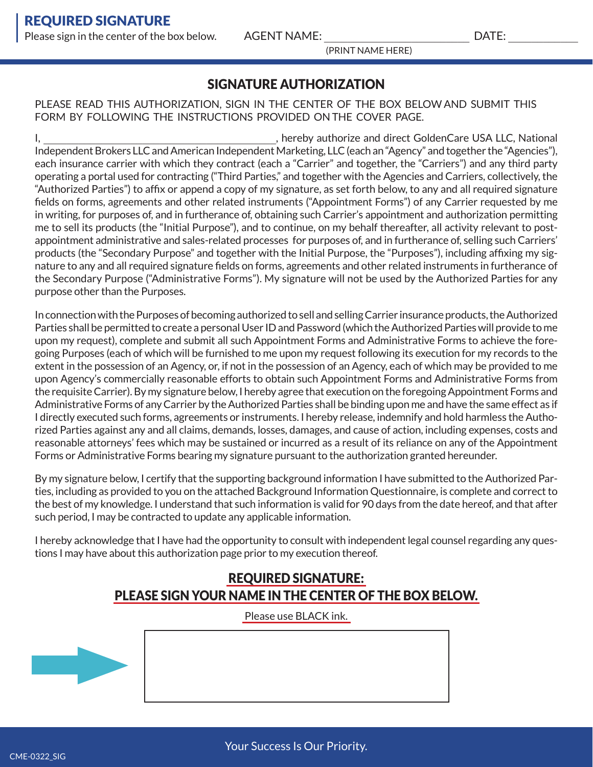(PRINT NAME HERE)

### SIGNATURE AUTHORIZATION

#### PLEASE READ THIS AUTHORIZATION, SIGN IN THE CENTER OF THE BOX BELOW AND SUBMIT THIS FORM BY FOLLOWING THE INSTRUCTIONS PROVIDED ON THE COVER PAGE.

I, thereby authorize and direct GoldenCare USA LLC, National Independent Brokers LLC and American Independent Marketing, LLC (each an "Agency" and together the "Agencies"), each insurance carrier with which they contract (each a "Carrier" and together, the "Carriers") and any third party operating a portal used for contracting ("Third Parties," and together with the Agencies and Carriers, collectively, the "Authorized Parties") to affix or append a copy of my signature, as set forth below, to any and all required signature fields on forms, agreements and other related instruments ("Appointment Forms") of any Carrier requested by me in writing, for purposes of, and in furtherance of, obtaining such Carrier's appointment and authorization permitting me to sell its products (the "Initial Purpose"), and to continue, on my behalf thereafter, all activity relevant to postappointment administrative and sales-related processes for purposes of, and in furtherance of, selling such Carriers' products (the "Secondary Purpose" and together with the Initial Purpose, the "Purposes"), including affixing my signature to any and all required signature fields on forms, agreements and other related instruments in furtherance of the Secondary Purpose ("Administrative Forms"). My signature will not be used by the Authorized Parties for any purpose other than the Purposes.

In connection with the Purposes of becoming authorized to sell and selling Carrier insurance products, the Authorized Parties shall be permitted to create a personal User ID and Password (which the Authorized Parties will provide to me upon my request), complete and submit all such Appointment Forms and Administrative Forms to achieve the foregoing Purposes (each of which will be furnished to me upon my request following its execution for my records to the extent in the possession of an Agency, or, if not in the possession of an Agency, each of which may be provided to me upon Agency's commercially reasonable efforts to obtain such Appointment Forms and Administrative Forms from the requisite Carrier). By my signature below, I hereby agree that execution on the foregoing Appointment Forms and Administrative Forms of any Carrier by the Authorized Parties shall be binding upon me and have the same effect as if I directly executed such forms, agreements or instruments. I hereby release, indemnify and hold harmless the Authorized Parties against any and all claims, demands, losses, damages, and cause of action, including expenses, costs and reasonable attorneys' fees which may be sustained or incurred as a result of its reliance on any of the Appointment Forms or Administrative Forms bearing my signature pursuant to the authorization granted hereunder.

By my signature below, I certify that the supporting background information I have submitted to the Authorized Parties, including as provided to you on the attached Background Information Questionnaire, is complete and correct to the best of my knowledge. I understand that such information is valid for 90 days from the date hereof, and that after such period, I may be contracted to update any applicable information.

I hereby acknowledge that I have had the opportunity to consult with independent legal counsel regarding any questions I may have about this authorization page prior to my execution thereof.

#### REQUIRED SIGNATURE: PLEASE SIGN YOUR NAME IN THE CENTER OF THE BOX BELOW.

Please use BLACK ink.

Your Success Is Our Priority.